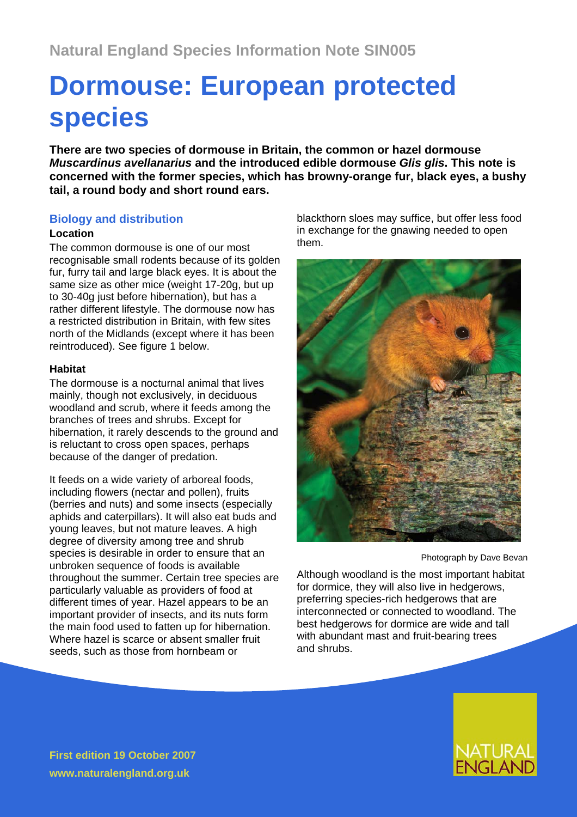# **Dormouse: European protected species**

**There are two species of dormouse in Britain, the common or hazel dormouse**  *Muscardinus avellanarius* **and the introduced edible dormouse** *Glis glis***. This note is concerned with the former species, which has browny-orange fur, black eyes, a bushy tail, a round body and short round ears.**

## **Biology and distribution**

#### **Location**

The common dormouse is one of our most recognisable small rodents because of its golden fur, furry tail and large black eyes. It is about the same size as other mice (weight 17-20g, but up to 30-40g just before hibernation), but has a rather different lifestyle. The dormouse now has a restricted distribution in Britain, with few sites north of the Midlands (except where it has been reintroduced). See figure 1 below.

### **Habitat**

The dormouse is a nocturnal animal that lives mainly, though not exclusively, in deciduous woodland and scrub, where it feeds among the branches of trees and shrubs. Except for hibernation, it rarely descends to the ground and is reluctant to cross open spaces, perhaps because of the danger of predation.

It feeds on a wide variety of arboreal foods, including flowers (nectar and pollen), fruits (berries and nuts) and some insects (especially aphids and caterpillars). It will also eat buds and young leaves, but not mature leaves. A high degree of diversity among tree and shrub species is desirable in order to ensure that an unbroken sequence of foods is available throughout the summer. Certain tree species are particularly valuable as providers of food at different times of year. Hazel appears to be an important provider of insects, and its nuts form the main food used to fatten up for hibernation. Where hazel is scarce or absent smaller fruit seeds, such as those from hornbeam or

blackthorn sloes may suffice, but offer less food in exchange for the gnawing needed to open them.



Photograph by Dave Bevan

Although woodland is the most important habitat for dormice, they will also live in hedgerows, preferring species-rich hedgerows that are interconnected or connected to woodland. The best hedgerows for dormice are wide and tall with abundant mast and fruit-bearing trees and shrubs.



**First edition 19 October 2007 www.naturalengland.org.uk**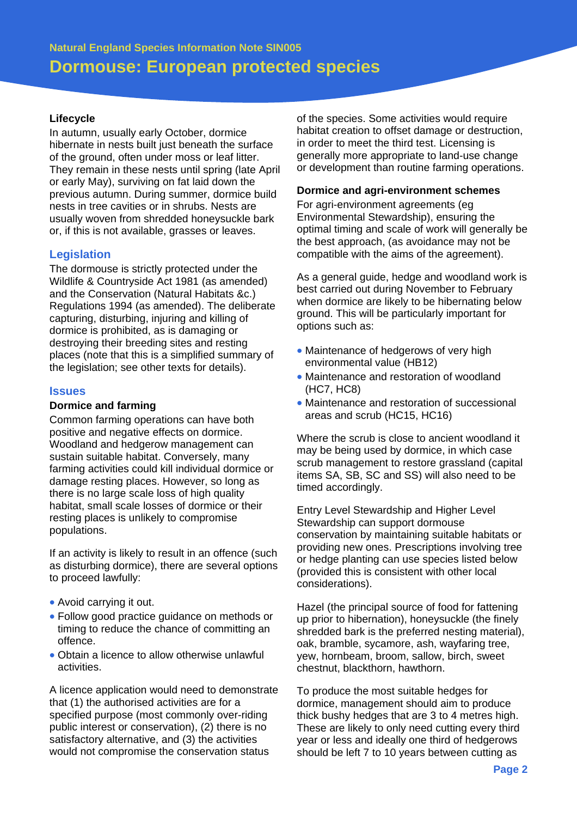#### **Lifecycle**

In autumn, usually early October, dormice hibernate in nests built just beneath the surface of the ground, often under moss or leaf litter. They remain in these nests until spring (late April or early May), surviving on fat laid down the previous autumn. During summer, dormice build nests in tree cavities or in shrubs. Nests are usually woven from shredded honeysuckle bark or, if this is not available, grasses or leaves.

### **Legislation**

The dormouse is strictly protected under the Wildlife & Countryside Act 1981 (as amended) and the Conservation (Natural Habitats &c.) Regulations 1994 (as amended). The deliberate capturing, disturbing, injuring and killing of dormice is prohibited, as is damaging or destroying their breeding sites and resting places (note that this is a simplified summary of the legislation; see other texts for details).

#### **Issues**

#### **Dormice and farming**

Common farming operations can have both positive and negative effects on dormice. Woodland and hedgerow management can sustain suitable habitat. Conversely, many farming activities could kill individual dormice or damage resting places. However, so long as there is no large scale loss of high quality habitat, small scale losses of dormice or their resting places is unlikely to compromise populations.

If an activity is likely to result in an offence (such as disturbing dormice), there are several options to proceed lawfully:

- Avoid carrying it out.
- Follow good practice guidance on methods or timing to reduce the chance of committing an offence.
- Obtain a licence to allow otherwise unlawful activities.

A licence application would need to demonstrate that (1) the authorised activities are for a specified purpose (most commonly over-riding public interest or conservation), (2) there is no satisfactory alternative, and (3) the activities would not compromise the conservation status

of the species. Some activities would require habitat creation to offset damage or destruction, in order to meet the third test. Licensing is generally more appropriate to land-use change or development than routine farming operations.

#### **Dormice and agri-environment schemes**

For agri-environment agreements (eg Environmental Stewardship), ensuring the optimal timing and scale of work will generally be the best approach, (as avoidance may not be compatible with the aims of the agreement).

As a general guide, hedge and woodland work is best carried out during November to February when dormice are likely to be hibernating below ground. This will be particularly important for options such as:

- Maintenance of hedgerows of very high environmental value (HB12)
- Maintenance and restoration of woodland (HC7, HC8)
- Maintenance and restoration of successional areas and scrub (HC15, HC16)

Where the scrub is close to ancient woodland it may be being used by dormice, in which case scrub management to restore grassland (capital items SA, SB, SC and SS) will also need to be timed accordingly.

Entry Level Stewardship and Higher Level Stewardship can support dormouse conservation by maintaining suitable habitats or providing new ones. Prescriptions involving tree or hedge planting can use species listed below (provided this is consistent with other local considerations).

Hazel (the principal source of food for fattening up prior to hibernation), honeysuckle (the finely shredded bark is the preferred nesting material), oak, bramble, sycamore, ash, wayfaring tree, yew, hornbeam, broom, sallow, birch, sweet chestnut, blackthorn, hawthorn.

To produce the most suitable hedges for dormice, management should aim to produce thick bushy hedges that are 3 to 4 metres high. These are likely to only need cutting every third year or less and ideally one third of hedgerows should be left 7 to 10 years between cutting as